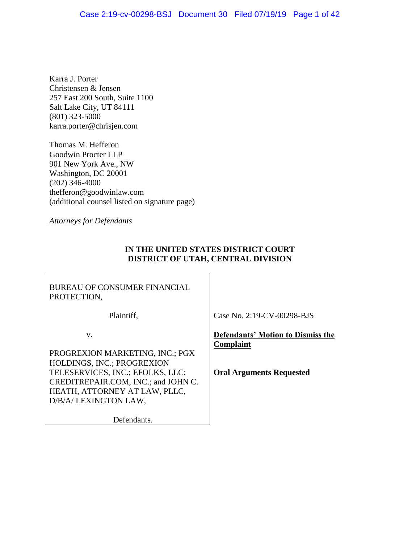### Case 2:19-cv-00298-BSJ Document 30 Filed 07/19/19 Page 1 of 42

Karra J. Porter Christensen & Jensen 257 East 200 South, Suite 1100 Salt Lake City, UT 84111 (801) 323-5000 karra.porter@chrisjen.com

Thomas M. Hefferon Goodwin Procter LLP 901 New York Ave., NW Washington, DC 20001 (202) 346-4000 thefferon@goodwinlaw.com (additional counsel listed on signature page)

*Attorneys for Defendants*

### **IN THE UNITED STATES DISTRICT COURT DISTRICT OF UTAH, CENTRAL DIVISION**

BUREAU OF CONSUMER FINANCIAL PROTECTION,

Plaintiff,

Case No. 2:19-CV-00298-BJS

v.

PROGREXION MARKETING, INC.; PGX HOLDINGS, INC.; PROGREXION TELESERVICES, INC.; EFOLKS, LLC; CREDITREPAIR.COM, INC.; and JOHN C. HEATH, ATTORNEY AT LAW, PLLC, D/B/A/ LEXINGTON LAW,

Defendants.

**Defendants' Motion to Dismiss the Complaint**

**Oral Arguments Requested**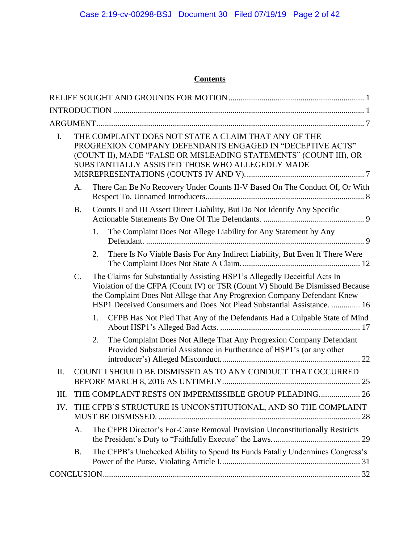# **Contents**

| $\mathbf{I}$ . | THE COMPLAINT DOES NOT STATE A CLAIM THAT ANY OF THE<br>PROGREXION COMPANY DEFENDANTS ENGAGED IN "DECEPTIVE ACTS"<br>(COUNT II), MADE "FALSE OR MISLEADING STATEMENTS" (COUNT III), OR<br>SUBSTANTIALLY ASSISTED THOSE WHO ALLEGEDLY MADE |    |                                                                                                                                                                                                                                                                                                                  |  |  |
|----------------|-------------------------------------------------------------------------------------------------------------------------------------------------------------------------------------------------------------------------------------------|----|------------------------------------------------------------------------------------------------------------------------------------------------------------------------------------------------------------------------------------------------------------------------------------------------------------------|--|--|
|                | There Can Be No Recovery Under Counts II-V Based On The Conduct Of, Or With<br>А.                                                                                                                                                         |    |                                                                                                                                                                                                                                                                                                                  |  |  |
|                | <b>B.</b>                                                                                                                                                                                                                                 |    | Counts II and III Assert Direct Liability, But Do Not Identify Any Specific                                                                                                                                                                                                                                      |  |  |
|                |                                                                                                                                                                                                                                           | 1. | The Complaint Does Not Allege Liability for Any Statement by Any                                                                                                                                                                                                                                                 |  |  |
|                |                                                                                                                                                                                                                                           | 2. | There Is No Viable Basis For Any Indirect Liability, But Even If There Were                                                                                                                                                                                                                                      |  |  |
|                | $C_{\cdot}$                                                                                                                                                                                                                               |    | The Claims for Substantially Assisting HSP1's Allegedly Deceitful Acts In<br>Violation of the CFPA (Count IV) or TSR (Count V) Should Be Dismissed Because<br>the Complaint Does Not Allege that Any Progrexion Company Defendant Knew<br>HSP1 Deceived Consumers and Does Not Plead Substantial Assistance.  16 |  |  |
|                |                                                                                                                                                                                                                                           | 1. | CFPB Has Not Pled That Any of the Defendants Had a Culpable State of Mind                                                                                                                                                                                                                                        |  |  |
|                |                                                                                                                                                                                                                                           | 2. | The Complaint Does Not Allege That Any Progrexion Company Defendant<br>Provided Substantial Assistance in Furtherance of HSP1's (or any other                                                                                                                                                                    |  |  |
| II.            |                                                                                                                                                                                                                                           |    | COUNT I SHOULD BE DISMISSED AS TO ANY CONDUCT THAT OCCURRED                                                                                                                                                                                                                                                      |  |  |
| Ш.             |                                                                                                                                                                                                                                           |    | THE COMPLAINT RESTS ON IMPERMISSIBLE GROUP PLEADING 26                                                                                                                                                                                                                                                           |  |  |
| IV.            | THE CFPB'S STRUCTURE IS UNCONSTITUTIONAL, AND SO THE COMPLAINT                                                                                                                                                                            |    |                                                                                                                                                                                                                                                                                                                  |  |  |
|                | A.                                                                                                                                                                                                                                        |    | The CFPB Director's For-Cause Removal Provision Unconstitutionally Restricts                                                                                                                                                                                                                                     |  |  |
|                | Β.                                                                                                                                                                                                                                        |    | The CFPB's Unchecked Ability to Spend Its Funds Fatally Undermines Congress's                                                                                                                                                                                                                                    |  |  |
|                |                                                                                                                                                                                                                                           |    |                                                                                                                                                                                                                                                                                                                  |  |  |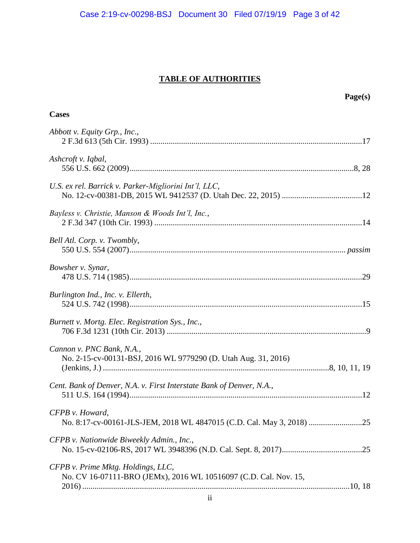# **TABLE OF AUTHORITIES**

|                                                                                                        | Page(s) |
|--------------------------------------------------------------------------------------------------------|---------|
| <b>Cases</b>                                                                                           |         |
| Abbott v. Equity Grp., Inc.,                                                                           |         |
| Ashcroft v. Iqbal,                                                                                     |         |
| U.S. ex rel. Barrick v. Parker-Migliorini Int'l, LLC,                                                  |         |
| Bayless v. Christie, Manson & Woods Int'l, Inc.,                                                       |         |
| Bell Atl. Corp. v. Twombly,                                                                            |         |
| Bowsher v. Synar,                                                                                      |         |
| Burlington Ind., Inc. v. Ellerth,                                                                      |         |
| Burnett v. Mortg. Elec. Registration Sys., Inc.,                                                       |         |
| Cannon v. PNC Bank, N.A.,<br>No. 2-15-cv-00131-BSJ, 2016 WL 9779290 (D. Utah Aug. 31, 2016)            |         |
| Cent. Bank of Denver, N.A. v. First Interstate Bank of Denver, N.A.,                                   |         |
| CFPB v. Howard,                                                                                        |         |
| CFPB v. Nationwide Biweekly Admin., Inc.,                                                              |         |
| CFPB v. Prime Mktg. Holdings, LLC,<br>No. CV 16-07111-BRO (JEMx), 2016 WL 10516097 (C.D. Cal. Nov. 15, |         |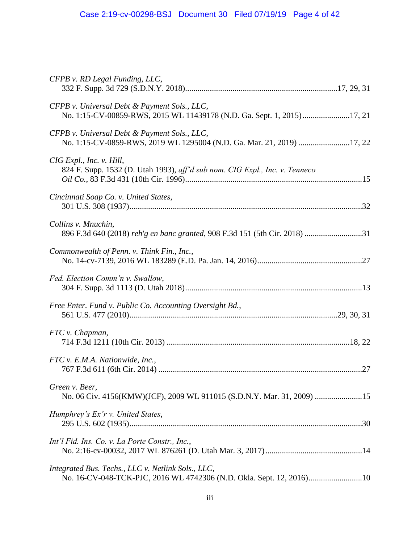| CFPB v. RD Legal Funding, LLC,                                                                                             |  |
|----------------------------------------------------------------------------------------------------------------------------|--|
| CFPB v. Universal Debt & Payment Sols., LLC,<br>No. 1:15-CV-00859-RWS, 2015 WL 11439178 (N.D. Ga. Sept. 1, 2015)17, 21     |  |
| CFPB v. Universal Debt & Payment Sols., LLC,<br>No. 1:15-CV-0859-RWS, 2019 WL 1295004 (N.D. Ga. Mar. 21, 2019) 17, 22      |  |
| CIG Expl., Inc. v. Hill,<br>824 F. Supp. 1532 (D. Utah 1993), aff'd sub nom. CIG Expl., Inc. v. Tenneco                    |  |
| Cincinnati Soap Co. v. United States,                                                                                      |  |
| Collins v. Mnuchin,<br>896 F.3d 640 (2018) reh'g en banc granted, 908 F.3d 151 (5th Cir. 2018) 31                          |  |
| Commonwealth of Penn. v. Think Fin., Inc.,                                                                                 |  |
| Fed. Election Comm'n v. Swallow,                                                                                           |  |
| Free Enter. Fund v. Public Co. Accounting Oversight Bd.,                                                                   |  |
| FTC v. Chapman,                                                                                                            |  |
| FTC v. E.M.A. Nationwide, Inc.,                                                                                            |  |
| Green v. Beer,<br>No. 06 Civ. 4156(KMW)(JCF), 2009 WL 911015 (S.D.N.Y. Mar. 31, 2009) 15                                   |  |
| Humphrey's Ex'r v. United States,                                                                                          |  |
| Int'l Fid. Ins. Co. v. La Porte Constr., Inc.,                                                                             |  |
| Integrated Bus. Techs., LLC v. Netlink Sols., LLC,<br>No. 16-CV-048-TCK-PJC, 2016 WL 4742306 (N.D. Okla. Sept. 12, 2016)10 |  |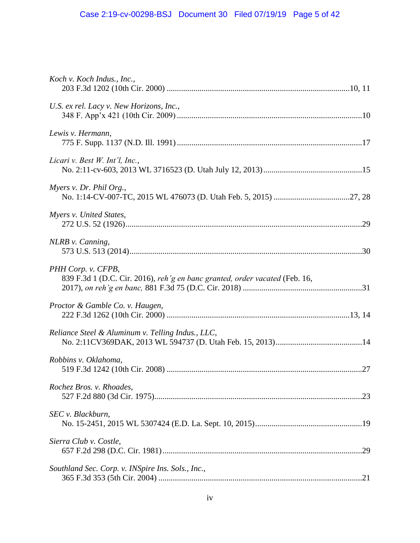# Case 2:19-cv-00298-BSJ Document 30 Filed 07/19/19 Page 5 of 42

| Koch v. Koch Indus., Inc.,                                                                        |  |
|---------------------------------------------------------------------------------------------------|--|
| U.S. ex rel. Lacy v. New Horizons, Inc.,                                                          |  |
| Lewis v. Hermann,                                                                                 |  |
| Licari v. Best W. Int'l, Inc.,                                                                    |  |
| Myers v. Dr. Phil Org.,                                                                           |  |
| Myers v. United States,                                                                           |  |
| NLRB v. Canning,                                                                                  |  |
| PHH Corp. v. CFPB,<br>839 F.3d 1 (D.C. Cir. 2016), reh'g en banc granted, order vacated (Feb. 16, |  |
| Proctor & Gamble Co. v. Haugen,                                                                   |  |
| Reliance Steel & Aluminum v. Telling Indus., LLC,                                                 |  |
| Robbins v. Oklahoma,                                                                              |  |
| Rochez Bros. v. Rhoades,                                                                          |  |
| SEC v. Blackburn,                                                                                 |  |
| Sierra Club v. Costle,                                                                            |  |
| Southland Sec. Corp. v. INSpire Ins. Sols., Inc.,                                                 |  |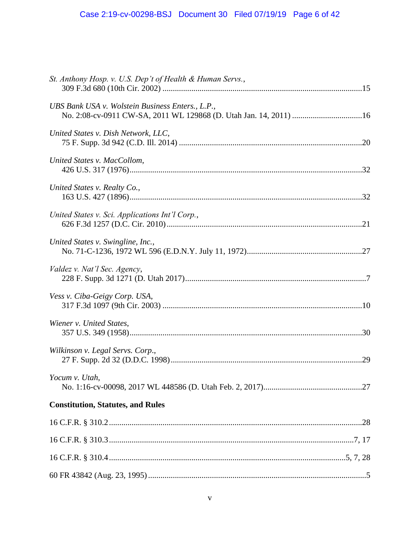# Case 2:19-cv-00298-BSJ Document 30 Filed 07/19/19 Page 6 of 42

| St. Anthony Hosp. v. U.S. Dep't of Health & Human Servs., |  |
|-----------------------------------------------------------|--|
| UBS Bank USA v. Wolstein Business Enters., L.P.,          |  |
| United States v. Dish Network, LLC,                       |  |
| United States v. MacCollom,                               |  |
| United States v. Realty Co.,                              |  |
| United States v. Sci. Applications Int'l Corp.,           |  |
| United States v. Swingline, Inc.,                         |  |
| Valdez v. Nat'l Sec. Agency,                              |  |
| Vess v. Ciba-Geigy Corp. USA,                             |  |
| Wiener v. United States,                                  |  |
| Wilkinson v. Legal Servs. Corp.,                          |  |
| Yocum v. Utah,                                            |  |
| <b>Constitution, Statutes, and Rules</b>                  |  |
|                                                           |  |
|                                                           |  |
|                                                           |  |
|                                                           |  |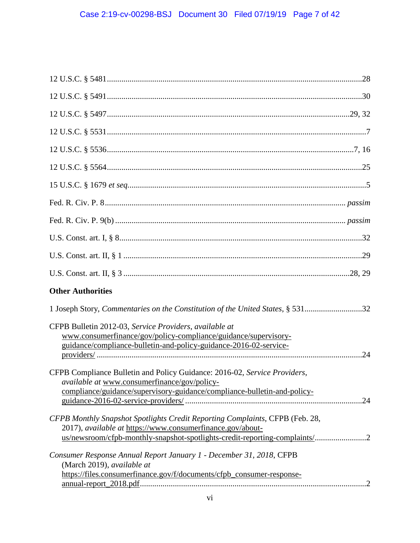| <b>Other Authorities</b>                                                                                                                                                                                                 |
|--------------------------------------------------------------------------------------------------------------------------------------------------------------------------------------------------------------------------|
| 1 Joseph Story, Commentaries on the Constitution of the United States, § 53132                                                                                                                                           |
| CFPB Bulletin 2012-03, Service Providers, available at<br>www.consumerfinance/gov/policy-compliance/guidance/supervisory-<br>guidance/compliance-bulletin-and-policy-guidance-2016-02-service-                           |
| CFPB Compliance Bulletin and Policy Guidance: 2016-02, Service Providers,<br><i>available at</i> www.consumerfinance/gov/policy-<br>compliance/guidance/supervisory-guidance/compliance-bulletin-and-policy-             |
| CFPB Monthly Snapshot Spotlights Credit Reporting Complaints, CFPB (Feb. 28,<br>2017), available at https://www.consumerfinance.gov/about-<br>us/newsroom/cfpb-monthly-snapshot-spotlights-credit-reporting-complaints/2 |
| Consumer Response Annual Report January 1 - December 31, 2018, CFPB<br>(March 2019), available at<br>https://files.consumerfinance.gov/f/documents/cfpb_consumer-response-                                               |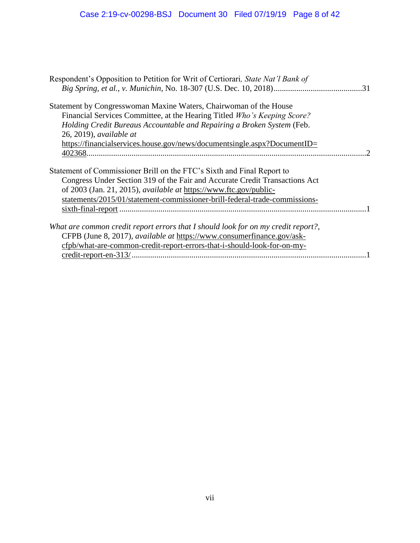| Respondent's Opposition to Petition for Writ of Certiorari, <i>State Nat'l Bank of</i> |  |
|----------------------------------------------------------------------------------------|--|
|                                                                                        |  |
| Statement by Congresswoman Maxine Waters, Chairwoman of the House                      |  |
| Financial Services Committee, at the Hearing Titled Who's Keeping Score?               |  |
| Holding Credit Bureaus Accountable and Repairing a Broken System (Feb.                 |  |
| $26, 2019$ , available at                                                              |  |
| https://financialservices.house.gov/news/documentsingle.aspx?DocumentID=               |  |
|                                                                                        |  |
| Statement of Commissioner Brill on the FTC's Sixth and Final Report to                 |  |
| Congress Under Section 319 of the Fair and Accurate Credit Transactions Act            |  |
| of 2003 (Jan. 21, 2015), <i>available at</i> https://www.ftc.gov/public-               |  |
| statements/2015/01/statement-commissioner-brill-federal-trade-commissions-             |  |
|                                                                                        |  |
| What are common credit report errors that I should look for on my credit report?,      |  |
| CFPB (June 8, 2017), available at https://www.consumerfinance.gov/ask-                 |  |
| cfpb/what-are-common-credit-report-errors-that-i-should-look-for-on-my-                |  |
|                                                                                        |  |
|                                                                                        |  |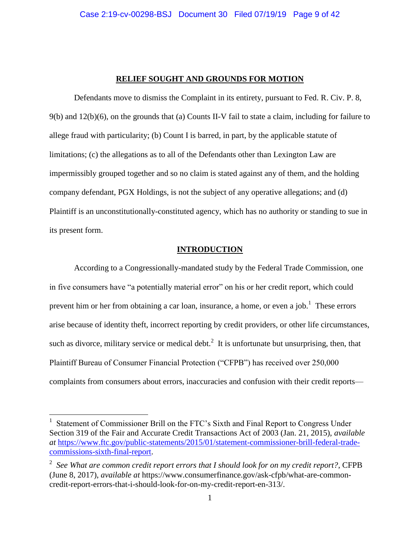### **RELIEF SOUGHT AND GROUNDS FOR MOTION**

Defendants move to dismiss the Complaint in its entirety, pursuant to Fed. R. Civ. P. 8, 9(b) and 12(b)(6), on the grounds that (a) Counts II-V fail to state a claim, including for failure to allege fraud with particularity; (b) Count I is barred, in part, by the applicable statute of limitations; (c) the allegations as to all of the Defendants other than Lexington Law are impermissibly grouped together and so no claim is stated against any of them, and the holding company defendant, PGX Holdings, is not the subject of any operative allegations; and (d) Plaintiff is an unconstitutionally-constituted agency, which has no authority or standing to sue in its present form.

### **INTRODUCTION**

According to a Congressionally-mandated study by the Federal Trade Commission, one in five consumers have "a potentially material error" on his or her credit report, which could prevent him or her from obtaining a car loan, insurance, a home, or even a job.<sup>1</sup> These errors arise because of identity theft, incorrect reporting by credit providers, or other life circumstances, such as divorce, military service or medical debt.<sup>2</sup> It is unfortunate but unsurprising, then, that Plaintiff Bureau of Consumer Financial Protection ("CFPB") has received over 250,000 complaints from consumers about errors, inaccuracies and confusion with their credit reports—

<sup>1</sup> Statement of Commissioner Brill on the FTC's Sixth and Final Report to Congress Under Section 319 of the Fair and Accurate Credit Transactions Act of 2003 (Jan. 21, 2015), *available at* https://www.ftc.gov/public-statements/2015/01/statement-commissioner-brill-federal-tradecommissions-sixth-final-report.

<sup>2</sup> *See What are common credit report errors that I should look for on my credit report?*, CFPB (June 8, 2017), *available at* https://www.consumerfinance.gov/ask-cfpb/what-are-commoncredit-report-errors-that-i-should-look-for-on-my-credit-report-en-313/.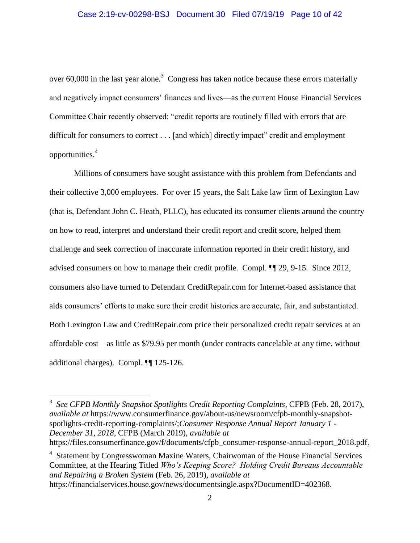over 60,000 in the last year alone.<sup>3</sup> Congress has taken notice because these errors materially and negatively impact consumers' finances and lives—as the current House Financial Services Committee Chair recently observed: "credit reports are routinely filled with errors that are difficult for consumers to correct . . . [and which] directly impact" credit and employment opportunities.<sup>4</sup>

Millions of consumers have sought assistance with this problem from Defendants and their collective 3,000 employees. For over 15 years, the Salt Lake law firm of Lexington Law (that is, Defendant John C. Heath, PLLC), has educated its consumer clients around the country on how to read, interpret and understand their credit report and credit score, helped them challenge and seek correction of inaccurate information reported in their credit history, and advised consumers on how to manage their credit profile. Compl. ¶¶ 29, 9-15. Since 2012, consumers also have turned to Defendant CreditRepair.com for Internet-based assistance that aids consumers' efforts to make sure their credit histories are accurate, fair, and substantiated. Both Lexington Law and CreditRepair.com price their personalized credit repair services at an affordable cost—as little as \$79.95 per month (under contracts cancelable at any time, without additional charges). Compl. ¶¶ 125-126.

3 *See CFPB Monthly Snapshot Spotlights Credit Reporting Complaints*, CFPB (Feb. 28, 2017), *available at* https://www.consumerfinance.gov/about-us/newsroom/cfpb-monthly-snapshotspotlights-credit-reporting-complaints/;*Consumer Response Annual Report January 1 - December 31, 2018*, CFPB (March 2019), *available at* https://files.consumerfinance.gov/f/documents/cfpb\_consumer-response-annual-report\_2018.pdf.

 $\overline{a}$ 

<sup>4</sup> Statement by Congresswoman Maxine Waters, Chairwoman of the House Financial Services Committee, at the Hearing Titled *Who's Keeping Score? Holding Credit Bureaus Accountable and Repairing a Broken System* (Feb. 26, 2019), *available at*  https://financialservices.house.gov/news/documentsingle.aspx?DocumentID=402368.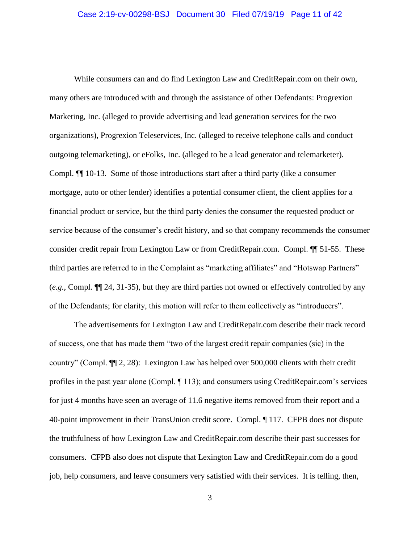While consumers can and do find Lexington Law and CreditRepair.com on their own, many others are introduced with and through the assistance of other Defendants: Progrexion Marketing, Inc. (alleged to provide advertising and lead generation services for the two organizations), Progrexion Teleservices, Inc. (alleged to receive telephone calls and conduct outgoing telemarketing), or eFolks, Inc. (alleged to be a lead generator and telemarketer). Compl. ¶¶ 10-13. Some of those introductions start after a third party (like a consumer mortgage, auto or other lender) identifies a potential consumer client, the client applies for a financial product or service, but the third party denies the consumer the requested product or service because of the consumer's credit history, and so that company recommends the consumer consider credit repair from Lexington Law or from CreditRepair.com. Compl. ¶¶ 51-55. These third parties are referred to in the Complaint as "marketing affiliates" and "Hotswap Partners" (*e.g.*, Compl. ¶¶ 24, 31-35), but they are third parties not owned or effectively controlled by any of the Defendants; for clarity, this motion will refer to them collectively as "introducers".

The advertisements for Lexington Law and CreditRepair.com describe their track record of success, one that has made them "two of the largest credit repair companies (sic) in the country" (Compl. ¶¶ 2, 28): Lexington Law has helped over 500,000 clients with their credit profiles in the past year alone (Compl. ¶ 113); and consumers using CreditRepair.com's services for just 4 months have seen an average of 11.6 negative items removed from their report and a 40-point improvement in their TransUnion credit score. Compl. ¶ 117. CFPB does not dispute the truthfulness of how Lexington Law and CreditRepair.com describe their past successes for consumers. CFPB also does not dispute that Lexington Law and CreditRepair.com do a good job, help consumers, and leave consumers very satisfied with their services. It is telling, then,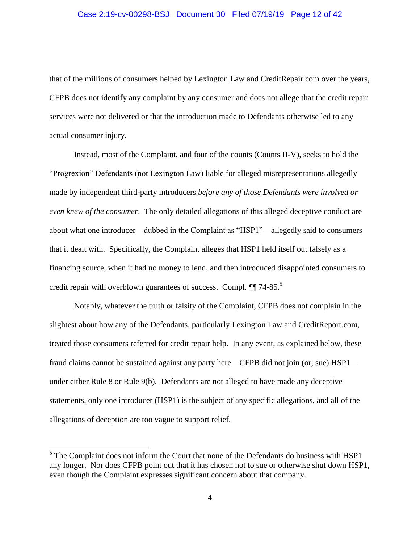that of the millions of consumers helped by Lexington Law and CreditRepair.com over the years, CFPB does not identify any complaint by any consumer and does not allege that the credit repair services were not delivered or that the introduction made to Defendants otherwise led to any actual consumer injury.

Instead, most of the Complaint, and four of the counts (Counts II-V), seeks to hold the "Progrexion" Defendants (not Lexington Law) liable for alleged misrepresentations allegedly made by independent third-party introducers *before any of those Defendants were involved or even knew of the consumer*. The only detailed allegations of this alleged deceptive conduct are about what one introducer—dubbed in the Complaint as "HSP1"—allegedly said to consumers that it dealt with. Specifically, the Complaint alleges that HSP1 held itself out falsely as a financing source, when it had no money to lend, and then introduced disappointed consumers to credit repair with overblown guarantees of success. Compl.  $\P$  74-85.<sup>5</sup>

Notably, whatever the truth or falsity of the Complaint, CFPB does not complain in the slightest about how any of the Defendants, particularly Lexington Law and CreditReport.com, treated those consumers referred for credit repair help. In any event, as explained below, these fraud claims cannot be sustained against any party here—CFPB did not join (or, sue) HSP1 under either Rule 8 or Rule 9(b). Defendants are not alleged to have made any deceptive statements, only one introducer (HSP1) is the subject of any specific allegations, and all of the allegations of deception are too vague to support relief.

 $<sup>5</sup>$  The Complaint does not inform the Court that none of the Defendants do business with HSP1</sup> any longer. Nor does CFPB point out that it has chosen not to sue or otherwise shut down HSP1, even though the Complaint expresses significant concern about that company.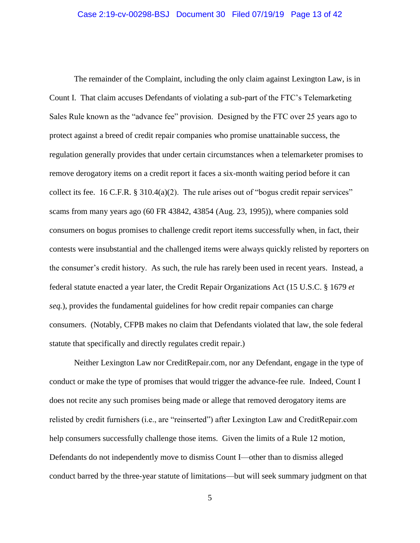The remainder of the Complaint, including the only claim against Lexington Law, is in Count I. That claim accuses Defendants of violating a sub-part of the FTC's Telemarketing Sales Rule known as the "advance fee" provision. Designed by the FTC over 25 years ago to protect against a breed of credit repair companies who promise unattainable success, the regulation generally provides that under certain circumstances when a telemarketer promises to remove derogatory items on a credit report it faces a six-month waiting period before it can collect its fee. 16 C.F.R. § 310.4(a)(2). The rule arises out of "bogus credit repair services" scams from many years ago (60 FR 43842, 43854 (Aug. 23, 1995)), where companies sold consumers on bogus promises to challenge credit report items successfully when, in fact, their contests were insubstantial and the challenged items were always quickly relisted by reporters on the consumer's credit history. As such, the rule has rarely been used in recent years. Instead, a federal statute enacted a year later, the Credit Repair Organizations Act (15 U.S.C. § 1679 *et seq.*), provides the fundamental guidelines for how credit repair companies can charge consumers. (Notably, CFPB makes no claim that Defendants violated that law, the sole federal statute that specifically and directly regulates credit repair.)

Neither Lexington Law nor CreditRepair.com, nor any Defendant, engage in the type of conduct or make the type of promises that would trigger the advance-fee rule. Indeed, Count I does not recite any such promises being made or allege that removed derogatory items are relisted by credit furnishers (i.e., are "reinserted") after Lexington Law and CreditRepair.com help consumers successfully challenge those items. Given the limits of a Rule 12 motion, Defendants do not independently move to dismiss Count I—other than to dismiss alleged conduct barred by the three-year statute of limitations—but will seek summary judgment on that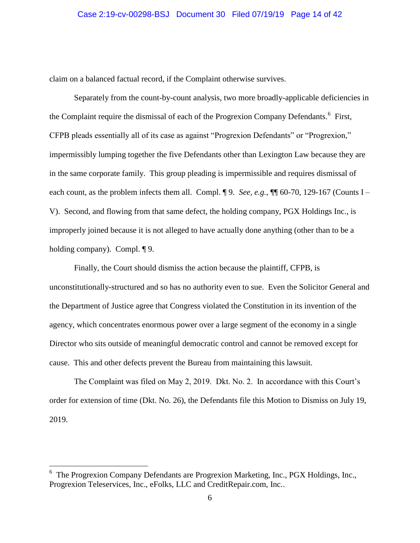claim on a balanced factual record, if the Complaint otherwise survives.

Separately from the count-by-count analysis, two more broadly-applicable deficiencies in the Complaint require the dismissal of each of the Progrexion Company Defendants.<sup>6</sup> First, CFPB pleads essentially all of its case as against "Progrexion Defendants" or "Progrexion," impermissibly lumping together the five Defendants other than Lexington Law because they are in the same corporate family. This group pleading is impermissible and requires dismissal of each count, as the problem infects them all. Compl. ¶ 9. *See, e.g.*, ¶ 60-70, 129-167 (Counts I – V). Second, and flowing from that same defect, the holding company, PGX Holdings Inc., is improperly joined because it is not alleged to have actually done anything (other than to be a holding company). Compl. ¶ 9.

Finally, the Court should dismiss the action because the plaintiff, CFPB, is unconstitutionally-structured and so has no authority even to sue. Even the Solicitor General and the Department of Justice agree that Congress violated the Constitution in its invention of the agency, which concentrates enormous power over a large segment of the economy in a single Director who sits outside of meaningful democratic control and cannot be removed except for cause. This and other defects prevent the Bureau from maintaining this lawsuit.

The Complaint was filed on May 2, 2019. Dkt. No. 2. In accordance with this Court's order for extension of time (Dkt. No. 26), the Defendants file this Motion to Dismiss on July 19, 2019.

<sup>6</sup> The Progrexion Company Defendants are Progrexion Marketing, Inc., PGX Holdings, Inc., Progrexion Teleservices, Inc., eFolks, LLC and CreditRepair.com, Inc..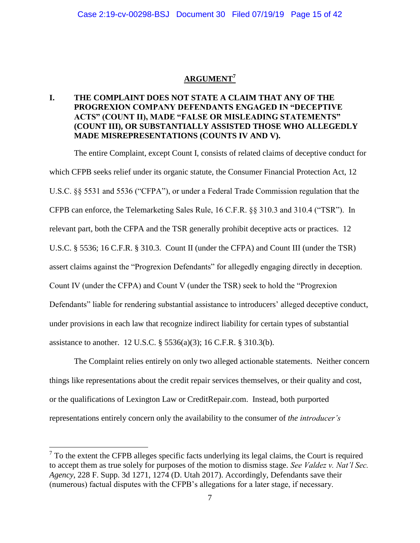# **ARGUMENT<sup>7</sup>**

## **I. THE COMPLAINT DOES NOT STATE A CLAIM THAT ANY OF THE PROGREXION COMPANY DEFENDANTS ENGAGED IN "DECEPTIVE ACTS" (COUNT II), MADE "FALSE OR MISLEADING STATEMENTS" (COUNT III), OR SUBSTANTIALLY ASSISTED THOSE WHO ALLEGEDLY MADE MISREPRESENTATIONS (COUNTS IV AND V).**

The entire Complaint, except Count I, consists of related claims of deceptive conduct for which CFPB seeks relief under its organic statute, the Consumer Financial Protection Act, 12 U.S.C. §§ 5531 and 5536 ("CFPA"), or under a Federal Trade Commission regulation that the CFPB can enforce, the Telemarketing Sales Rule, 16 C.F.R. §§ 310.3 and 310.4 ("TSR"). In relevant part, both the CFPA and the TSR generally prohibit deceptive acts or practices. 12 U.S.C. § 5536; 16 C.F.R. § 310.3. Count II (under the CFPA) and Count III (under the TSR) assert claims against the "Progrexion Defendants" for allegedly engaging directly in deception. Count IV (under the CFPA) and Count V (under the TSR) seek to hold the "Progrexion Defendants" liable for rendering substantial assistance to introducers' alleged deceptive conduct, under provisions in each law that recognize indirect liability for certain types of substantial assistance to another. 12 U.S.C. § 5536(a)(3); 16 C.F.R. § 310.3(b).

The Complaint relies entirely on only two alleged actionable statements. Neither concern things like representations about the credit repair services themselves, or their quality and cost, or the qualifications of Lexington Law or CreditRepair.com. Instead, both purported representations entirely concern only the availability to the consumer of *the introducer's*

 $7$  To the extent the CFPB alleges specific facts underlying its legal claims, the Court is required to accept them as true solely for purposes of the motion to dismiss stage. *See Valdez v. Nat'l Sec. Agency*, 228 F. Supp. 3d 1271, 1274 (D. Utah 2017). Accordingly, Defendants save their (numerous) factual disputes with the CFPB's allegations for a later stage, if necessary.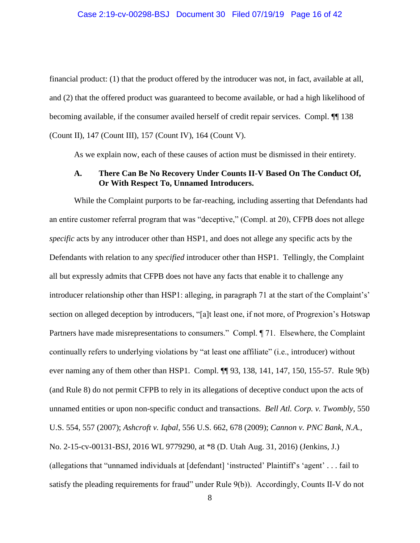financial product: (1) that the product offered by the introducer was not, in fact, available at all, and (2) that the offered product was guaranteed to become available, or had a high likelihood of becoming available, if the consumer availed herself of credit repair services. Compl. ¶¶ 138 (Count II), 147 (Count III), 157 (Count IV), 164 (Count V).

As we explain now, each of these causes of action must be dismissed in their entirety.

### **A. There Can Be No Recovery Under Counts II-V Based On The Conduct Of, Or With Respect To, Unnamed Introducers.**

While the Complaint purports to be far-reaching, including asserting that Defendants had an entire customer referral program that was "deceptive," (Compl. at 20), CFPB does not allege *specific* acts by any introducer other than HSP1, and does not allege any specific acts by the Defendants with relation to any *specified* introducer other than HSP1. Tellingly, the Complaint all but expressly admits that CFPB does not have any facts that enable it to challenge any introducer relationship other than HSP1: alleging, in paragraph 71 at the start of the Complaint's' section on alleged deception by introducers, "[a]t least one, if not more, of Progrexion's Hotswap Partners have made misrepresentations to consumers." Compl. ¶ 71. Elsewhere, the Complaint continually refers to underlying violations by "at least one affiliate" (i.e., introducer) without ever naming any of them other than HSP1. Compl.  $\P$  93, 138, 141, 147, 150, 155-57. Rule 9(b) (and Rule 8) do not permit CFPB to rely in its allegations of deceptive conduct upon the acts of unnamed entities or upon non-specific conduct and transactions. *Bell Atl. Corp. v. Twombly*, 550 U.S. 554, 557 (2007); *Ashcroft v. Iqbal*, 556 U.S. 662, 678 (2009); *Cannon v. PNC Bank, N.A.*, No. 2-15-cv-00131-BSJ, 2016 WL 9779290, at \*8 (D. Utah Aug. 31, 2016) (Jenkins, J.) (allegations that "unnamed individuals at [defendant] 'instructed' Plaintiff's 'agent' . . . fail to satisfy the pleading requirements for fraud" under Rule 9(b)). Accordingly, Counts II-V do not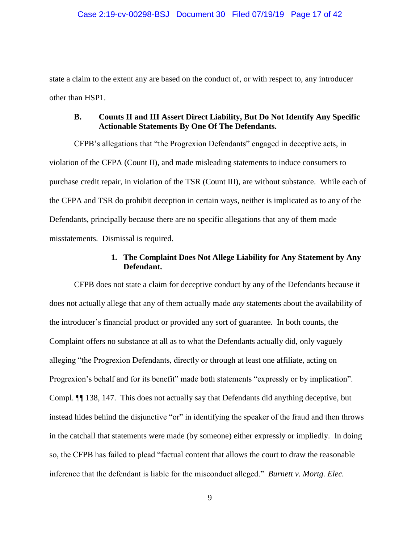state a claim to the extent any are based on the conduct of, or with respect to, any introducer other than HSP1.

### **B. Counts II and III Assert Direct Liability, But Do Not Identify Any Specific Actionable Statements By One Of The Defendants.**

CFPB's allegations that "the Progrexion Defendants" engaged in deceptive acts, in violation of the CFPA (Count II), and made misleading statements to induce consumers to purchase credit repair, in violation of the TSR (Count III), are without substance. While each of the CFPA and TSR do prohibit deception in certain ways, neither is implicated as to any of the Defendants, principally because there are no specific allegations that any of them made misstatements. Dismissal is required.

### **1. The Complaint Does Not Allege Liability for Any Statement by Any Defendant.**

CFPB does not state a claim for deceptive conduct by any of the Defendants because it does not actually allege that any of them actually made *any* statements about the availability of the introducer's financial product or provided any sort of guarantee. In both counts, the Complaint offers no substance at all as to what the Defendants actually did, only vaguely alleging "the Progrexion Defendants, directly or through at least one affiliate, acting on Progrexion's behalf and for its benefit" made both statements "expressly or by implication". Compl. ¶¶ 138, 147. This does not actually say that Defendants did anything deceptive, but instead hides behind the disjunctive "or" in identifying the speaker of the fraud and then throws in the catchall that statements were made (by someone) either expressly or impliedly. In doing so, the CFPB has failed to plead "factual content that allows the court to draw the reasonable inference that the defendant is liable for the misconduct alleged." *Burnett v. Mortg. Elec.*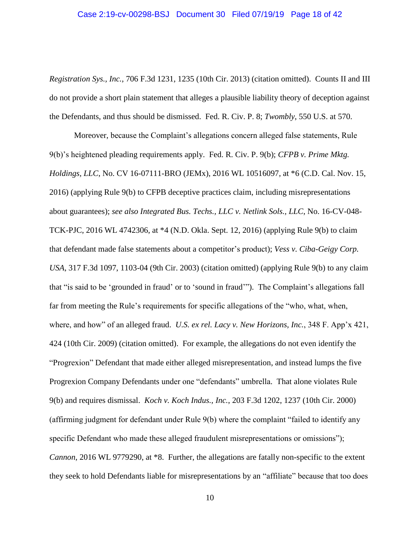### Case 2:19-cv-00298-BSJ Document 30 Filed 07/19/19 Page 18 of 42

*Registration Sys., Inc.*, 706 F.3d 1231, 1235 (10th Cir. 2013) (citation omitted). Counts II and III do not provide a short plain statement that alleges a plausible liability theory of deception against the Defendants, and thus should be dismissed. Fed. R. Civ. P. 8; *Twombly*, 550 U.S. at 570.

Moreover, because the Complaint's allegations concern alleged false statements, Rule 9(b)'s heightened pleading requirements apply. Fed. R. Civ. P. 9(b); *CFPB v. Prime Mktg. Holdings, LLC*, No. CV 16-07111-BRO (JEMx), 2016 WL 10516097, at \*6 (C.D. Cal. Nov. 15, 2016) (applying Rule 9(b) to CFPB deceptive practices claim, including misrepresentations about guarantees); *see also Integrated Bus. Techs., LLC v. Netlink Sols., LLC*, No. 16-CV-048- TCK-PJC, 2016 WL 4742306, at \*4 (N.D. Okla. Sept. 12, 2016) (applying Rule 9(b) to claim that defendant made false statements about a competitor's product); *Vess v. Ciba-Geigy Corp. USA*, 317 F.3d 1097, 1103-04 (9th Cir. 2003) (citation omitted) (applying Rule 9(b) to any claim that "is said to be 'grounded in fraud' or to 'sound in fraud'"). The Complaint's allegations fall far from meeting the Rule's requirements for specific allegations of the "who, what, when, where, and how" of an alleged fraud. *U.S. ex rel. Lacy v. New Horizons, Inc.*, 348 F. App'x 421, 424 (10th Cir. 2009) (citation omitted). For example, the allegations do not even identify the "Progrexion" Defendant that made either alleged misrepresentation, and instead lumps the five Progrexion Company Defendants under one "defendants" umbrella. That alone violates Rule 9(b) and requires dismissal. *Koch v. Koch Indus., Inc.*, 203 F.3d 1202, 1237 (10th Cir. 2000) (affirming judgment for defendant under Rule 9(b) where the complaint "failed to identify any specific Defendant who made these alleged fraudulent misrepresentations or omissions"); *Cannon*, 2016 WL 9779290, at \*8. Further, the allegations are fatally non-specific to the extent they seek to hold Defendants liable for misrepresentations by an "affiliate" because that too does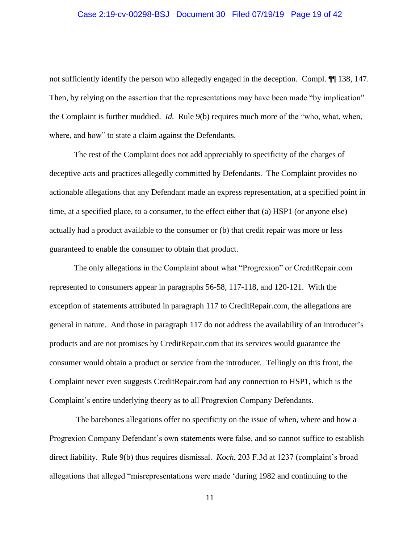### Case 2:19-cv-00298-BSJ Document 30 Filed 07/19/19 Page 19 of 42

not sufficiently identify the person who allegedly engaged in the deception. Compl. ¶¶ 138, 147. Then, by relying on the assertion that the representations may have been made "by implication" the Complaint is further muddied. *Id.* Rule 9(b) requires much more of the "who, what, when, where, and how" to state a claim against the Defendants.

The rest of the Complaint does not add appreciably to specificity of the charges of deceptive acts and practices allegedly committed by Defendants. The Complaint provides no actionable allegations that any Defendant made an express representation, at a specified point in time, at a specified place, to a consumer, to the effect either that (a) HSP1 (or anyone else) actually had a product available to the consumer or (b) that credit repair was more or less guaranteed to enable the consumer to obtain that product.

The only allegations in the Complaint about what "Progrexion" or CreditRepair.com represented to consumers appear in paragraphs 56-58, 117-118, and 120-121. With the exception of statements attributed in paragraph 117 to CreditRepair.com, the allegations are general in nature. And those in paragraph 117 do not address the availability of an introducer's products and are not promises by CreditRepair.com that its services would guarantee the consumer would obtain a product or service from the introducer. Tellingly on this front, the Complaint never even suggests CreditRepair.com had any connection to HSP1, which is the Complaint's entire underlying theory as to all Progrexion Company Defendants.

The barebones allegations offer no specificity on the issue of when, where and how a Progrexion Company Defendant's own statements were false, and so cannot suffice to establish direct liability. Rule 9(b) thus requires dismissal. *Koch*, 203 F.3d at 1237 (complaint's broad allegations that alleged "misrepresentations were made 'during 1982 and continuing to the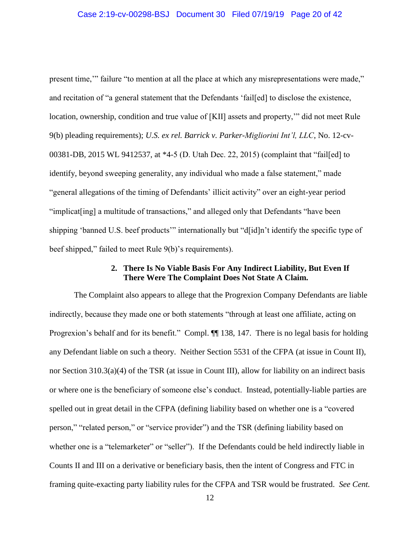present time,'" failure "to mention at all the place at which any misrepresentations were made," and recitation of "a general statement that the Defendants 'fail[ed] to disclose the existence, location, ownership, condition and true value of [KII] assets and property,'" did not meet Rule 9(b) pleading requirements); *U.S. ex rel. Barrick v. Parker-Migliorini Int'l, LLC*, No. 12-cv-00381-DB, 2015 WL 9412537, at \*4-5 (D. Utah Dec. 22, 2015) (complaint that "fail[ed] to identify, beyond sweeping generality, any individual who made a false statement," made "general allegations of the timing of Defendants' illicit activity" over an eight-year period "implicat [ing] a multitude of transactions," and alleged only that Defendants "have been shipping 'banned U.S. beef products'" internationally but "d[id]n't identify the specific type of beef shipped," failed to meet Rule 9(b)'s requirements).

### **2. There Is No Viable Basis For Any Indirect Liability, But Even If There Were The Complaint Does Not State A Claim.**

The Complaint also appears to allege that the Progrexion Company Defendants are liable indirectly, because they made one or both statements "through at least one affiliate, acting on Progrexion's behalf and for its benefit." Compl.  $\P$  138, 147. There is no legal basis for holding any Defendant liable on such a theory. Neither Section 5531 of the CFPA (at issue in Count II), nor Section 310.3(a)(4) of the TSR (at issue in Count III), allow for liability on an indirect basis or where one is the beneficiary of someone else's conduct. Instead, potentially-liable parties are spelled out in great detail in the CFPA (defining liability based on whether one is a "covered person," "related person," or "service provider") and the TSR (defining liability based on whether one is a "telemarketer" or "seller"). If the Defendants could be held indirectly liable in Counts II and III on a derivative or beneficiary basis, then the intent of Congress and FTC in framing quite-exacting party liability rules for the CFPA and TSR would be frustrated. *See Cent.*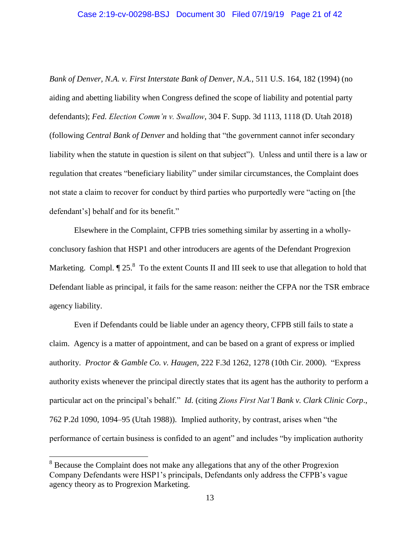# Case 2:19-cv-00298-BSJ Document 30 Filed 07/19/19 Page 21 of 42

*Bank of Denver, N.A. v. First Interstate Bank of Denver, N.A.*, 511 U.S. 164, 182 (1994) (no aiding and abetting liability when Congress defined the scope of liability and potential party defendants); *Fed. Election Comm'n v. Swallow*, 304 F. Supp. 3d 1113, 1118 (D. Utah 2018) (following *Central Bank of Denver* and holding that "the government cannot infer secondary liability when the statute in question is silent on that subject"). Unless and until there is a law or regulation that creates "beneficiary liability" under similar circumstances, the Complaint does not state a claim to recover for conduct by third parties who purportedly were "acting on [the defendant's] behalf and for its benefit."

Elsewhere in the Complaint, CFPB tries something similar by asserting in a whollyconclusory fashion that HSP1 and other introducers are agents of the Defendant Progrexion Marketing. Compl.  $\P 25$ . To the extent Counts II and III seek to use that allegation to hold that Defendant liable as principal, it fails for the same reason: neither the CFPA nor the TSR embrace agency liability.

Even if Defendants could be liable under an agency theory, CFPB still fails to state a claim. Agency is a matter of appointment, and can be based on a grant of express or implied authority. *Proctor & Gamble Co. v. Haugen*, 222 F.3d 1262, 1278 (10th Cir. 2000). "Express authority exists whenever the principal directly states that its agent has the authority to perform a particular act on the principal's behalf." *Id.* (citing *Zions First Nat'l Bank v. Clark Clinic Corp*., 762 P.2d 1090, 1094–95 (Utah 1988)). Implied authority, by contrast, arises when "the performance of certain business is confided to an agent" and includes "by implication authority

<sup>&</sup>lt;sup>8</sup> Because the Complaint does not make any allegations that any of the other Progrexion Company Defendants were HSP1's principals, Defendants only address the CFPB's vague agency theory as to Progrexion Marketing.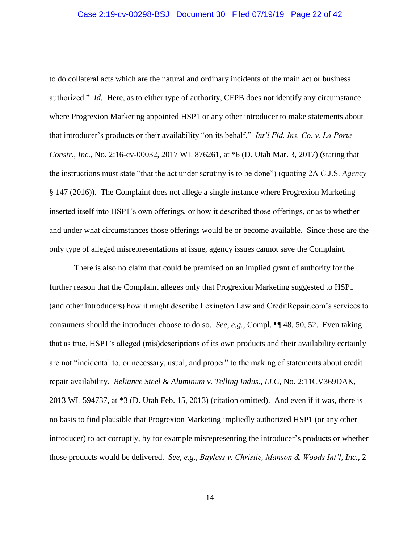to do collateral acts which are the natural and ordinary incidents of the main act or business authorized." *Id.* Here, as to either type of authority, CFPB does not identify any circumstance where Progrexion Marketing appointed HSP1 or any other introducer to make statements about that introducer's products or their availability "on its behalf." *Int'l Fid. Ins. Co. v. La Porte Constr., Inc.*, No. 2:16-cv-00032, 2017 WL 876261, at \*6 (D. Utah Mar. 3, 2017) (stating that the instructions must state "that the act under scrutiny is to be done") (quoting 2A C.J.S. *Agency* § 147 (2016)). The Complaint does not allege a single instance where Progrexion Marketing inserted itself into HSP1's own offerings, or how it described those offerings, or as to whether and under what circumstances those offerings would be or become available. Since those are the only type of alleged misrepresentations at issue, agency issues cannot save the Complaint.

There is also no claim that could be premised on an implied grant of authority for the further reason that the Complaint alleges only that Progrexion Marketing suggested to HSP1 (and other introducers) how it might describe Lexington Law and CreditRepair.com's services to consumers should the introducer choose to do so. *See, e.g.*, Compl. ¶¶ 48, 50, 52. Even taking that as true, HSP1's alleged (mis)descriptions of its own products and their availability certainly are not "incidental to, or necessary, usual, and proper" to the making of statements about credit repair availability. *Reliance Steel & Aluminum v. Telling Indus., LLC*, No. 2:11CV369DAK, 2013 WL 594737, at \*3 (D. Utah Feb. 15, 2013) (citation omitted). And even if it was, there is no basis to find plausible that Progrexion Marketing impliedly authorized HSP1 (or any other introducer) to act corruptly, by for example misrepresenting the introducer's products or whether those products would be delivered. *See, e.g.*, *Bayless v. Christie, Manson & Woods Int'l, Inc.*, 2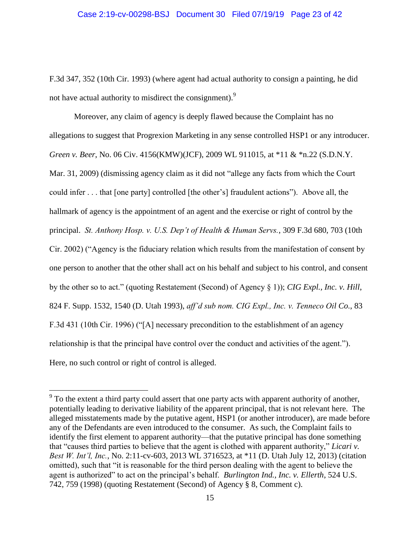F.3d 347, 352 (10th Cir. 1993) (where agent had actual authority to consign a painting, he did not have actual authority to misdirect the consignment).<sup>9</sup>

Moreover, any claim of agency is deeply flawed because the Complaint has no allegations to suggest that Progrexion Marketing in any sense controlled HSP1 or any introducer. *Green v. Beer*, No. 06 Civ. 4156(KMW)(JCF), 2009 WL 911015, at \*11 & \*n.22 (S.D.N.Y. Mar. 31, 2009) (dismissing agency claim as it did not "allege any facts from which the Court could infer . . . that [one party] controlled [the other's] fraudulent actions"). Above all, the hallmark of agency is the appointment of an agent and the exercise or right of control by the principal. *St. Anthony Hosp. v. U.S. Dep't of Health & Human Servs.*, 309 F.3d 680, 703 (10th Cir. 2002) ("Agency is the fiduciary relation which results from the manifestation of consent by one person to another that the other shall act on his behalf and subject to his control, and consent by the other so to act." (quoting Restatement (Second) of Agency § 1)); *CIG Expl., Inc. v. Hill*, 824 F. Supp. 1532, 1540 (D. Utah 1993), *aff'd sub nom. CIG Expl., Inc. v. Tenneco Oil Co.*, 83 F.3d 431 (10th Cir. 1996) ("[A] necessary precondition to the establishment of an agency relationship is that the principal have control over the conduct and activities of the agent."). Here, no such control or right of control is alleged.

<sup>&</sup>lt;sup>9</sup> To the extent a third party could assert that one party acts with apparent authority of another, potentially leading to derivative liability of the apparent principal, that is not relevant here. The alleged misstatements made by the putative agent, HSP1 (or another introducer), are made before any of the Defendants are even introduced to the consumer. As such, the Complaint fails to identify the first element to apparent authority—that the putative principal has done something that "causes third parties to believe that the agent is clothed with apparent authority," *Licari v. Best W. Int'l, Inc.*, No. 2:11-cv-603, 2013 WL 3716523, at \*11 (D. Utah July 12, 2013) (citation omitted), such that "it is reasonable for the third person dealing with the agent to believe the agent is authorized" to act on the principal's behalf. *Burlington Ind., Inc. v. Ellerth*, 524 U.S. 742, 759 (1998) (quoting Restatement (Second) of Agency § 8, Comment c).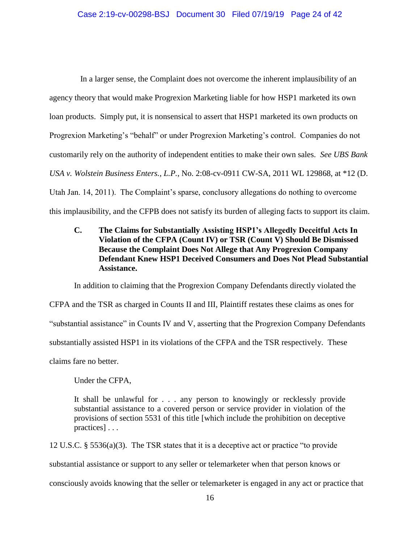In a larger sense, the Complaint does not overcome the inherent implausibility of an agency theory that would make Progrexion Marketing liable for how HSP1 marketed its own loan products. Simply put, it is nonsensical to assert that HSP1 marketed its own products on Progrexion Marketing's "behalf" or under Progrexion Marketing's control. Companies do not customarily rely on the authority of independent entities to make their own sales. *See UBS Bank USA v. Wolstein Business Enters., L.P.*, No. 2:08-cv-0911 CW-SA, 2011 WL 129868, at \*12 (D. Utah Jan. 14, 2011). The Complaint's sparse, conclusory allegations do nothing to overcome this implausibility, and the CFPB does not satisfy its burden of alleging facts to support its claim.

## **C. The Claims for Substantially Assisting HSP1's Allegedly Deceitful Acts In Violation of the CFPA (Count IV) or TSR (Count V) Should Be Dismissed Because the Complaint Does Not Allege that Any Progrexion Company Defendant Knew HSP1 Deceived Consumers and Does Not Plead Substantial Assistance.**

In addition to claiming that the Progrexion Company Defendants directly violated the CFPA and the TSR as charged in Counts II and III, Plaintiff restates these claims as ones for "substantial assistance" in Counts IV and V, asserting that the Progrexion Company Defendants substantially assisted HSP1 in its violations of the CFPA and the TSR respectively. These claims fare no better.

Under the CFPA,

It shall be unlawful for . . . any person to knowingly or recklessly provide substantial assistance to a covered person or service provider in violation of the provisions of section 5531 of this title [which include the prohibition on deceptive practices] . . .

12 U.S.C. § 5536(a)(3). The TSR states that it is a deceptive act or practice "to provide substantial assistance or support to any seller or telemarketer when that person knows or consciously avoids knowing that the seller or telemarketer is engaged in any act or practice that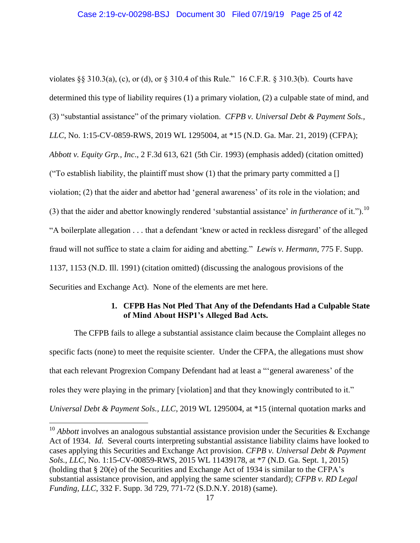violates §§ 310.3(a), (c), or (d), or § 310.4 of this Rule." 16 C.F.R. § 310.3(b). Courts have determined this type of liability requires (1) a primary violation, (2) a culpable state of mind, and (3) "substantial assistance" of the primary violation. *CFPB v. Universal Debt & Payment Sols., LLC*, No. 1:15-CV-0859-RWS, 2019 WL 1295004, at \*15 (N.D. Ga. Mar. 21, 2019) (CFPA); *Abbott v. Equity Grp., Inc*., 2 F.3d 613, 621 (5th Cir. 1993) (emphasis added) (citation omitted) ("To establish liability, the plaintiff must show  $(1)$  that the primary party committed a [] violation; (2) that the aider and abettor had 'general awareness' of its role in the violation; and (3) that the aider and abettor knowingly rendered 'substantial assistance' *in furtherance* of it.").<sup>10</sup> "A boilerplate allegation . . . that a defendant 'knew or acted in reckless disregard' of the alleged fraud will not suffice to state a claim for aiding and abetting." *Lewis v. Hermann*, 775 F. Supp. 1137, 1153 (N.D. Ill. 1991) (citation omitted) (discussing the analogous provisions of the Securities and Exchange Act). None of the elements are met here.

### **1. CFPB Has Not Pled That Any of the Defendants Had a Culpable State of Mind About HSP1's Alleged Bad Acts.**

The CFPB fails to allege a substantial assistance claim because the Complaint alleges no specific facts (none) to meet the requisite scienter. Under the CFPA, the allegations must show that each relevant Progrexion Company Defendant had at least a "'general awareness' of the roles they were playing in the primary [violation] and that they knowingly contributed to it." *Universal Debt & Payment Sols., LLC*, 2019 WL 1295004, at \*15 (internal quotation marks and

<sup>&</sup>lt;sup>10</sup> *Abbott* involves an analogous substantial assistance provision under the Securities & Exchange Act of 1934. *Id.* Several courts interpreting substantial assistance liability claims have looked to cases applying this Securities and Exchange Act provision. *CFPB v. Universal Debt & Payment Sols., LLC*, No. 1:15-CV-00859-RWS, 2015 WL 11439178, at \*7 (N.D. Ga. Sept. 1, 2015) (holding that § 20(e) of the Securities and Exchange Act of 1934 is similar to the CFPA's substantial assistance provision, and applying the same scienter standard); *CFPB v. RD Legal Funding, LLC*, 332 F. Supp. 3d 729, 771-72 (S.D.N.Y. 2018) (same).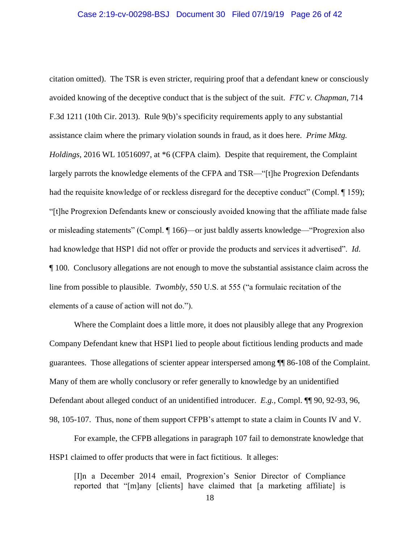citation omitted). The TSR is even stricter, requiring proof that a defendant knew or consciously avoided knowing of the deceptive conduct that is the subject of the suit. *FTC v. Chapman*, 714 F.3d 1211 (10th Cir. 2013). Rule 9(b)'s specificity requirements apply to any substantial assistance claim where the primary violation sounds in fraud, as it does here. *Prime Mktg. Holdings*, 2016 WL 10516097, at \*6 (CFPA claim). Despite that requirement, the Complaint largely parrots the knowledge elements of the CFPA and TSR—"[t]he Progrexion Defendants had the requisite knowledge of or reckless disregard for the deceptive conduct" (Compl. 159); "[t]he Progrexion Defendants knew or consciously avoided knowing that the affiliate made false or misleading statements" (Compl. ¶ 166)—or just baldly asserts knowledge—"Progrexion also had knowledge that HSP1 did not offer or provide the products and services it advertised". *Id*. ¶ 100. Conclusory allegations are not enough to move the substantial assistance claim across the line from possible to plausible. *Twombly*, 550 U.S. at 555 ("a formulaic recitation of the elements of a cause of action will not do.").

Where the Complaint does a little more, it does not plausibly allege that any Progrexion Company Defendant knew that HSP1 lied to people about fictitious lending products and made guarantees. Those allegations of scienter appear interspersed among ¶¶ 86-108 of the Complaint. Many of them are wholly conclusory or refer generally to knowledge by an unidentified Defendant about alleged conduct of an unidentified introducer. *E.g.,* Compl. ¶¶ 90, 92-93, 96, 98, 105-107. Thus, none of them support CFPB's attempt to state a claim in Counts IV and V.

For example, the CFPB allegations in paragraph 107 fail to demonstrate knowledge that HSP1 claimed to offer products that were in fact fictitious. It alleges:

[I]n a December 2014 email, Progrexion's Senior Director of Compliance reported that "[m]any [clients] have claimed that [a marketing affiliate] is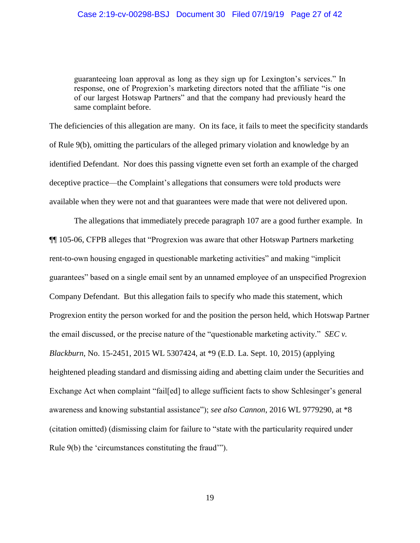guaranteeing loan approval as long as they sign up for Lexington's services." In response, one of Progrexion's marketing directors noted that the affiliate "is one of our largest Hotswap Partners" and that the company had previously heard the same complaint before.

The deficiencies of this allegation are many. On its face, it fails to meet the specificity standards of Rule 9(b), omitting the particulars of the alleged primary violation and knowledge by an identified Defendant. Nor does this passing vignette even set forth an example of the charged deceptive practice—the Complaint's allegations that consumers were told products were available when they were not and that guarantees were made that were not delivered upon.

The allegations that immediately precede paragraph 107 are a good further example. In ¶¶ 105-06, CFPB alleges that "Progrexion was aware that other Hotswap Partners marketing rent-to-own housing engaged in questionable marketing activities" and making "implicit guarantees" based on a single email sent by an unnamed employee of an unspecified Progrexion Company Defendant. But this allegation fails to specify who made this statement, which Progrexion entity the person worked for and the position the person held, which Hotswap Partner the email discussed, or the precise nature of the "questionable marketing activity." *SEC v. Blackburn*, No. 15-2451, 2015 WL 5307424, at \*9 (E.D. La. Sept. 10, 2015) (applying heightened pleading standard and dismissing aiding and abetting claim under the Securities and Exchange Act when complaint "fail[ed] to allege sufficient facts to show Schlesinger's general awareness and knowing substantial assistance"); *see also Cannon*, 2016 WL 9779290, at \*8 (citation omitted) (dismissing claim for failure to "state with the particularity required under Rule 9(b) the 'circumstances constituting the fraud'").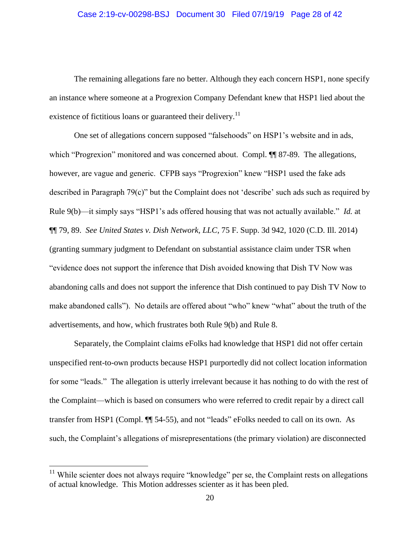### Case 2:19-cv-00298-BSJ Document 30 Filed 07/19/19 Page 28 of 42

The remaining allegations fare no better. Although they each concern HSP1, none specify an instance where someone at a Progrexion Company Defendant knew that HSP1 lied about the existence of fictitious loans or guaranteed their delivery.<sup>11</sup>

One set of allegations concern supposed "falsehoods" on HSP1's website and in ads, which "Progrexion" monitored and was concerned about. Compl.  $\P$  87-89. The allegations, however, are vague and generic. CFPB says "Progrexion" knew "HSP1 used the fake ads described in Paragraph 79(c)" but the Complaint does not 'describe' such ads such as required by Rule 9(b)—it simply says "HSP1's ads offered housing that was not actually available." *Id.* at ¶¶ 79, 89. *See United States v. Dish Network, LLC*, 75 F. Supp. 3d 942, 1020 (C.D. Ill. 2014) (granting summary judgment to Defendant on substantial assistance claim under TSR when "evidence does not support the inference that Dish avoided knowing that Dish TV Now was abandoning calls and does not support the inference that Dish continued to pay Dish TV Now to make abandoned calls"). No details are offered about "who" knew "what" about the truth of the advertisements, and how, which frustrates both Rule 9(b) and Rule 8.

Separately, the Complaint claims eFolks had knowledge that HSP1 did not offer certain unspecified rent-to-own products because HSP1 purportedly did not collect location information for some "leads." The allegation is utterly irrelevant because it has nothing to do with the rest of the Complaint—which is based on consumers who were referred to credit repair by a direct call transfer from HSP1 (Compl. ¶¶ 54-55), and not "leads" eFolks needed to call on its own. As such, the Complaint's allegations of misrepresentations (the primary violation) are disconnected

 $11$  While scienter does not always require "knowledge" per se, the Complaint rests on allegations of actual knowledge. This Motion addresses scienter as it has been pled.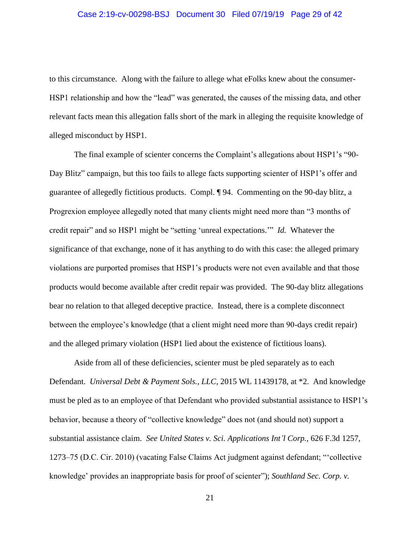to this circumstance. Along with the failure to allege what eFolks knew about the consumer-HSP1 relationship and how the "lead" was generated, the causes of the missing data, and other relevant facts mean this allegation falls short of the mark in alleging the requisite knowledge of alleged misconduct by HSP1.

The final example of scienter concerns the Complaint's allegations about HSP1's "90- Day Blitz" campaign, but this too fails to allege facts supporting scienter of HSP1's offer and guarantee of allegedly fictitious products. Compl. ¶ 94. Commenting on the 90-day blitz, a Progrexion employee allegedly noted that many clients might need more than "3 months of credit repair" and so HSP1 might be "setting 'unreal expectations.'" *Id.* Whatever the significance of that exchange, none of it has anything to do with this case: the alleged primary violations are purported promises that HSP1's products were not even available and that those products would become available after credit repair was provided. The 90-day blitz allegations bear no relation to that alleged deceptive practice. Instead, there is a complete disconnect between the employee's knowledge (that a client might need more than 90-days credit repair) and the alleged primary violation (HSP1 lied about the existence of fictitious loans).

Aside from all of these deficiencies, scienter must be pled separately as to each Defendant. *Universal Debt & Payment Sols., LLC*, 2015 WL 11439178, at \*2. And knowledge must be pled as to an employee of that Defendant who provided substantial assistance to HSP1's behavior, because a theory of "collective knowledge" does not (and should not) support a substantial assistance claim. *See United States v. Sci. Applications Int'l Corp.*, 626 F.3d 1257, 1273–75 (D.C. Cir. 2010) (vacating False Claims Act judgment against defendant; "'collective knowledge' provides an inappropriate basis for proof of scienter"); *Southland Sec. Corp. v.*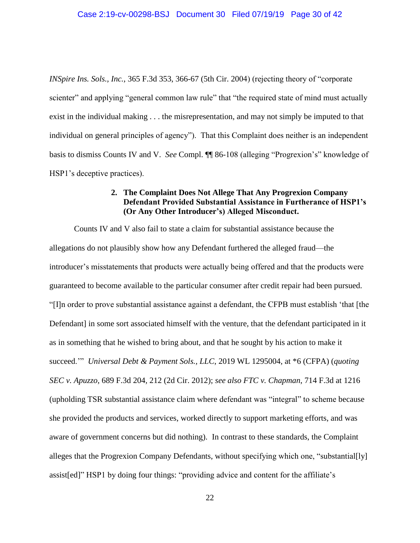*INSpire Ins. Sols., Inc.*, 365 F.3d 353, 366-67 (5th Cir. 2004) (rejecting theory of "corporate scienter" and applying "general common law rule" that "the required state of mind must actually exist in the individual making . . . the misrepresentation, and may not simply be imputed to that individual on general principles of agency"). That this Complaint does neither is an independent basis to dismiss Counts IV and V. *See* Compl. ¶¶ 86-108 (alleging "Progrexion's" knowledge of HSP1's deceptive practices).

### **2. The Complaint Does Not Allege That Any Progrexion Company Defendant Provided Substantial Assistance in Furtherance of HSP1's (Or Any Other Introducer's) Alleged Misconduct.**

Counts IV and V also fail to state a claim for substantial assistance because the allegations do not plausibly show how any Defendant furthered the alleged fraud—the introducer's misstatements that products were actually being offered and that the products were guaranteed to become available to the particular consumer after credit repair had been pursued. "[I]n order to prove substantial assistance against a defendant, the CFPB must establish 'that [the Defendant] in some sort associated himself with the venture, that the defendant participated in it as in something that he wished to bring about, and that he sought by his action to make it succeed.'" *Universal Debt & Payment Sols., LLC*, 2019 WL 1295004, at \*6 (CFPA) (*quoting SEC v. Apuzzo*, 689 F.3d 204, 212 (2d Cir. 2012); *see also FTC v. Chapman*, 714 F.3d at 1216 (upholding TSR substantial assistance claim where defendant was "integral" to scheme because she provided the products and services, worked directly to support marketing efforts, and was aware of government concerns but did nothing). In contrast to these standards, the Complaint alleges that the Progrexion Company Defendants, without specifying which one, "substantial[ly] assist[ed]" HSP1 by doing four things: "providing advice and content for the affiliate's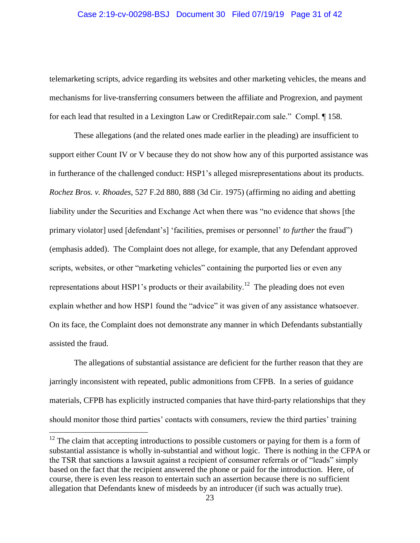### Case 2:19-cv-00298-BSJ Document 30 Filed 07/19/19 Page 31 of 42

telemarketing scripts, advice regarding its websites and other marketing vehicles, the means and mechanisms for live-transferring consumers between the affiliate and Progrexion, and payment for each lead that resulted in a Lexington Law or CreditRepair.com sale." Compl. ¶ 158.

These allegations (and the related ones made earlier in the pleading) are insufficient to support either Count IV or V because they do not show how any of this purported assistance was in furtherance of the challenged conduct: HSP1's alleged misrepresentations about its products. *Rochez Bros. v. Rhoades*, 527 F.2d 880, 888 (3d Cir. 1975) (affirming no aiding and abetting liability under the Securities and Exchange Act when there was "no evidence that shows [the primary violator] used [defendant's] 'facilities, premises or personnel' *to further* the fraud") (emphasis added). The Complaint does not allege, for example, that any Defendant approved scripts, websites, or other "marketing vehicles" containing the purported lies or even any representations about HSP1's products or their availability.<sup>12</sup> The pleading does not even explain whether and how HSP1 found the "advice" it was given of any assistance whatsoever. On its face, the Complaint does not demonstrate any manner in which Defendants substantially assisted the fraud.

The allegations of substantial assistance are deficient for the further reason that they are jarringly inconsistent with repeated, public admonitions from CFPB. In a series of guidance materials, CFPB has explicitly instructed companies that have third-party relationships that they should monitor those third parties' contacts with consumers, review the third parties' training

 $12$  The claim that accepting introductions to possible customers or paying for them is a form of substantial assistance is wholly in-substantial and without logic. There is nothing in the CFPA or the TSR that sanctions a lawsuit against a recipient of consumer referrals or of "leads" simply based on the fact that the recipient answered the phone or paid for the introduction. Here, of course, there is even less reason to entertain such an assertion because there is no sufficient allegation that Defendants knew of misdeeds by an introducer (if such was actually true).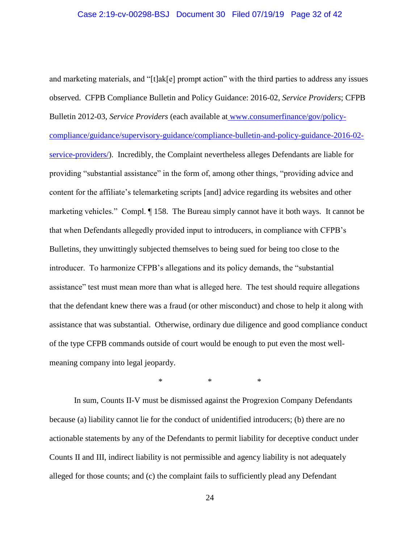and marketing materials, and "[t]ak[e] prompt action" with the third parties to address any issues observed. CFPB Compliance Bulletin and Policy Guidance: 2016-02, *Service Providers*; CFPB Bulletin 2012-03, *Service Providers* (each available at www.consumerfinance/gov/policycompliance/guidance/supervisory-guidance/compliance-bulletin-and-policy-guidance-2016-02 service-providers/). Incredibly, the Complaint nevertheless alleges Defendants are liable for providing "substantial assistance" in the form of, among other things, "providing advice and content for the affiliate's telemarketing scripts [and] advice regarding its websites and other marketing vehicles." Compl. ¶ 158. The Bureau simply cannot have it both ways. It cannot be that when Defendants allegedly provided input to introducers, in compliance with CFPB's Bulletins, they unwittingly subjected themselves to being sued for being too close to the introducer. To harmonize CFPB's allegations and its policy demands, the "substantial assistance" test must mean more than what is alleged here. The test should require allegations that the defendant knew there was a fraud (or other misconduct) and chose to help it along with assistance that was substantial. Otherwise, ordinary due diligence and good compliance conduct of the type CFPB commands outside of court would be enough to put even the most wellmeaning company into legal jeopardy.

\* \* \*

In sum, Counts II-V must be dismissed against the Progrexion Company Defendants because (a) liability cannot lie for the conduct of unidentified introducers; (b) there are no actionable statements by any of the Defendants to permit liability for deceptive conduct under Counts II and III, indirect liability is not permissible and agency liability is not adequately alleged for those counts; and (c) the complaint fails to sufficiently plead any Defendant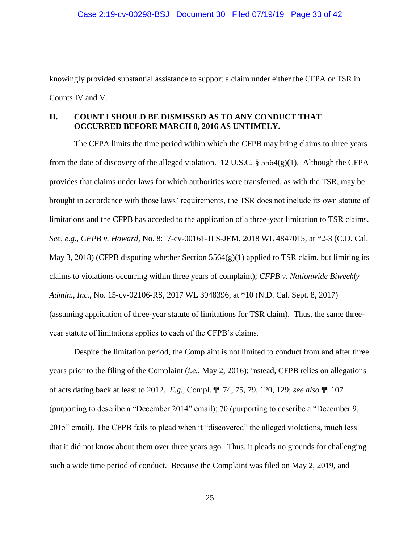knowingly provided substantial assistance to support a claim under either the CFPA or TSR in Counts IV and V.

### **II. COUNT I SHOULD BE DISMISSED AS TO ANY CONDUCT THAT OCCURRED BEFORE MARCH 8, 2016 AS UNTIMELY.**

The CFPA limits the time period within which the CFPB may bring claims to three years from the date of discovery of the alleged violation. 12 U.S.C.  $\S$  5564(g)(1). Although the CFPA provides that claims under laws for which authorities were transferred, as with the TSR, may be brought in accordance with those laws' requirements, the TSR does not include its own statute of limitations and the CFPB has acceded to the application of a three-year limitation to TSR claims. *See, e.g.*, *CFPB v. Howard*, No. 8:17-cv-00161-JLS-JEM, 2018 WL 4847015, at \*2-3 (C.D. Cal. May 3, 2018) (CFPB disputing whether Section  $5564(g)(1)$  applied to TSR claim, but limiting its claims to violations occurring within three years of complaint); *CFPB v. Nationwide Biweekly Admin., Inc.*, No. 15-cv-02106-RS, 2017 WL 3948396, at \*10 (N.D. Cal. Sept. 8, 2017) (assuming application of three-year statute of limitations for TSR claim). Thus, the same threeyear statute of limitations applies to each of the CFPB's claims.

Despite the limitation period, the Complaint is not limited to conduct from and after three years prior to the filing of the Complaint (*i.e.*, May 2, 2016); instead, CFPB relies on allegations of acts dating back at least to 2012. *E.g.*, Compl. ¶¶ 74, 75, 79, 120, 129; *see also* ¶¶ 107 (purporting to describe a "December 2014" email); 70 (purporting to describe a "December 9, 2015" email). The CFPB fails to plead when it "discovered" the alleged violations, much less that it did not know about them over three years ago. Thus, it pleads no grounds for challenging such a wide time period of conduct. Because the Complaint was filed on May 2, 2019, and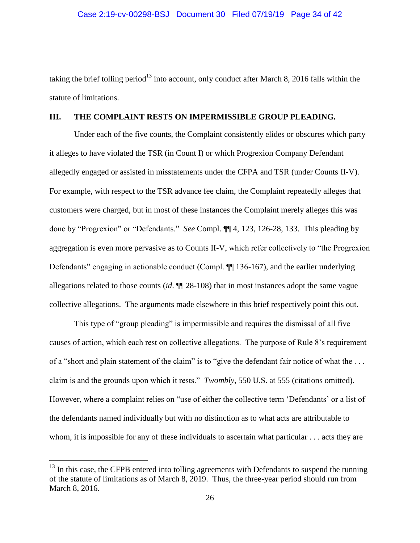taking the brief tolling period<sup>13</sup> into account, only conduct after March 8, 2016 falls within the statute of limitations.

#### **III. THE COMPLAINT RESTS ON IMPERMISSIBLE GROUP PLEADING.**

Under each of the five counts, the Complaint consistently elides or obscures which party it alleges to have violated the TSR (in Count I) or which Progrexion Company Defendant allegedly engaged or assisted in misstatements under the CFPA and TSR (under Counts II-V). For example, with respect to the TSR advance fee claim, the Complaint repeatedly alleges that customers were charged, but in most of these instances the Complaint merely alleges this was done by "Progrexion" or "Defendants." *See* Compl. ¶¶ 4, 123, 126-28, 133. This pleading by aggregation is even more pervasive as to Counts II-V, which refer collectively to "the Progrexion Defendants" engaging in actionable conduct (Compl.  $\P$  136-167), and the earlier underlying allegations related to those counts (*id*. ¶¶ 28-108) that in most instances adopt the same vague collective allegations. The arguments made elsewhere in this brief respectively point this out.

This type of "group pleading" is impermissible and requires the dismissal of all five causes of action, which each rest on collective allegations. The purpose of Rule 8's requirement of a "short and plain statement of the claim" is to "give the defendant fair notice of what the . . . claim is and the grounds upon which it rests." *Twombly*, 550 U.S. at 555 (citations omitted). However, where a complaint relies on "use of either the collective term 'Defendants' or a list of the defendants named individually but with no distinction as to what acts are attributable to whom, it is impossible for any of these individuals to ascertain what particular . . . acts they are

 $13$  In this case, the CFPB entered into tolling agreements with Defendants to suspend the running of the statute of limitations as of March 8, 2019. Thus, the three-year period should run from March 8, 2016.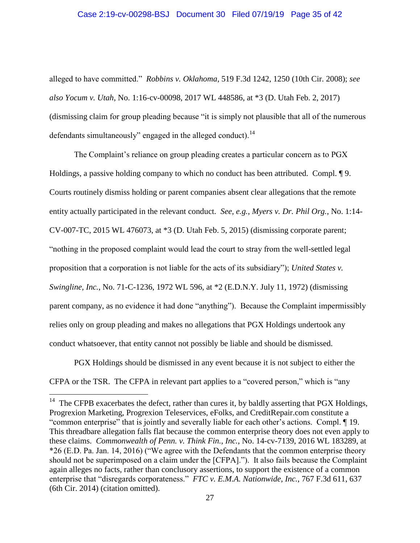# Case 2:19-cv-00298-BSJ Document 30 Filed 07/19/19 Page 35 of 42

alleged to have committed." *Robbins v. Oklahoma*, 519 F.3d 1242, 1250 (10th Cir. 2008); *see also Yocum v. Utah*, No. 1:16-cv-00098, 2017 WL 448586, at \*3 (D. Utah Feb. 2, 2017) (dismissing claim for group pleading because "it is simply not plausible that all of the numerous defendants simultaneously" engaged in the alleged conduct).<sup>14</sup>

The Complaint's reliance on group pleading creates a particular concern as to PGX Holdings, a passive holding company to which no conduct has been attributed. Compl. ¶ 9. Courts routinely dismiss holding or parent companies absent clear allegations that the remote entity actually participated in the relevant conduct. *See, e.g.*, *Myers v. Dr. Phil Org.*, No. 1:14- CV-007-TC, 2015 WL 476073, at \*3 (D. Utah Feb. 5, 2015) (dismissing corporate parent; "nothing in the proposed complaint would lead the court to stray from the well-settled legal proposition that a corporation is not liable for the acts of its subsidiary"); *United States v. Swingline, Inc.*, No. 71-C-1236, 1972 WL 596, at \*2 (E.D.N.Y. July 11, 1972) (dismissing parent company, as no evidence it had done "anything"). Because the Complaint impermissibly relies only on group pleading and makes no allegations that PGX Holdings undertook any conduct whatsoever, that entity cannot not possibly be liable and should be dismissed.

PGX Holdings should be dismissed in any event because it is not subject to either the CFPA or the TSR. The CFPA in relevant part applies to a "covered person," which is "any

<sup>&</sup>lt;sup>14</sup> The CFPB exacerbates the defect, rather than cures it, by baldly asserting that PGX Holdings, Progrexion Marketing, Progrexion Teleservices, eFolks, and CreditRepair.com constitute a "common enterprise" that is jointly and severally liable for each other's actions. Compl. ¶ 19. This threadbare allegation falls flat because the common enterprise theory does not even apply to these claims. *Commonwealth of Penn. v. Think Fin., Inc.*, No. 14-cv-7139, 2016 WL 183289, at \*26 (E.D. Pa. Jan. 14, 2016) ("We agree with the Defendants that the common enterprise theory should not be superimposed on a claim under the [CFPA]."). It also fails because the Complaint again alleges no facts, rather than conclusory assertions, to support the existence of a common enterprise that "disregards corporateness." *FTC v. E.M.A. Nationwide, Inc.*, 767 F.3d 611, 637 (6th Cir. 2014) (citation omitted).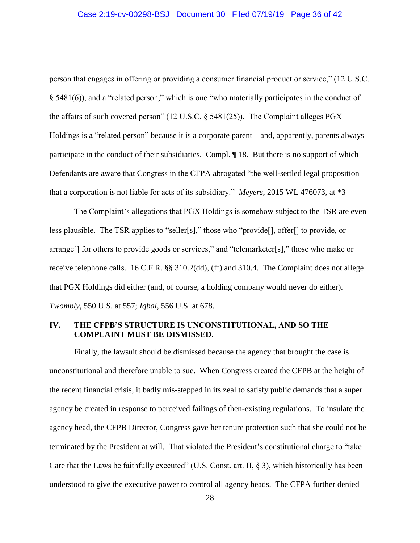person that engages in offering or providing a consumer financial product or service," (12 U.S.C. § 5481(6)), and a "related person," which is one "who materially participates in the conduct of the affairs of such covered person" (12 U.S.C. § 5481(25)). The Complaint alleges PGX Holdings is a "related person" because it is a corporate parent—and, apparently, parents always participate in the conduct of their subsidiaries. Compl. ¶ 18. But there is no support of which Defendants are aware that Congress in the CFPA abrogated "the well-settled legal proposition that a corporation is not liable for acts of its subsidiary." *Meyers*, 2015 WL 476073, at \*3

The Complaint's allegations that PGX Holdings is somehow subject to the TSR are even less plausible. The TSR applies to "seller[s]," those who "provide[], offer[] to provide, or arrange[] for others to provide goods or services," and "telemarketer[s]," those who make or receive telephone calls. 16 C.F.R. §§ 310.2(dd), (ff) and 310.4. The Complaint does not allege that PGX Holdings did either (and, of course, a holding company would never do either). *Twombly*, 550 U.S. at 557; *Iqbal*, 556 U.S. at 678.

### **IV. THE CFPB'S STRUCTURE IS UNCONSTITUTIONAL, AND SO THE COMPLAINT MUST BE DISMISSED.**

Finally, the lawsuit should be dismissed because the agency that brought the case is unconstitutional and therefore unable to sue. When Congress created the CFPB at the height of the recent financial crisis, it badly mis-stepped in its zeal to satisfy public demands that a super agency be created in response to perceived failings of then-existing regulations. To insulate the agency head, the CFPB Director, Congress gave her tenure protection such that she could not be terminated by the President at will. That violated the President's constitutional charge to "take Care that the Laws be faithfully executed" (U.S. Const. art. II, § 3), which historically has been understood to give the executive power to control all agency heads. The CFPA further denied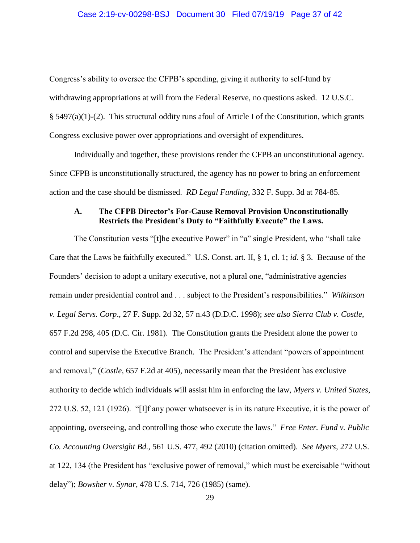Congress's ability to oversee the CFPB's spending, giving it authority to self-fund by withdrawing appropriations at will from the Federal Reserve, no questions asked. 12 U.S.C. § 5497(a)(1)-(2). This structural oddity runs afoul of Article I of the Constitution, which grants Congress exclusive power over appropriations and oversight of expenditures.

Individually and together, these provisions render the CFPB an unconstitutional agency. Since CFPB is unconstitutionally structured, the agency has no power to bring an enforcement action and the case should be dismissed. *RD Legal Funding*, 332 F. Supp. 3d at 784-85.

### **A. The CFPB Director's For-Cause Removal Provision Unconstitutionally Restricts the President's Duty to "Faithfully Execute" the Laws.**

The Constitution vests "[t]he executive Power" in "a" single President, who "shall take Care that the Laws be faithfully executed." U.S. Const. art. II, § 1, cl. 1; *id.* § 3. Because of the Founders' decision to adopt a unitary executive, not a plural one, "administrative agencies remain under presidential control and . . . subject to the President's responsibilities." *Wilkinson v. Legal Servs. Corp*., 27 F. Supp. 2d 32, 57 n.43 (D.D.C. 1998); *see also Sierra Club v. Costle*, 657 F.2d 298, 405 (D.C. Cir. 1981). The Constitution grants the President alone the power to control and supervise the Executive Branch. The President's attendant "powers of appointment and removal," (*Costle*, 657 F.2d at 405), necessarily mean that the President has exclusive authority to decide which individuals will assist him in enforcing the law, *Myers v. United States*, 272 U.S. 52, 121 (1926). "[I]f any power whatsoever is in its nature Executive, it is the power of appointing, overseeing, and controlling those who execute the laws." *Free Enter. Fund v. Public Co. Accounting Oversight Bd.*, 561 U.S. 477, 492 (2010) (citation omitted). *See Myers*, 272 U.S. at 122, 134 (the President has "exclusive power of removal," which must be exercisable "without delay"); *Bowsher v. Synar*, 478 U.S. 714, 726 (1985) (same).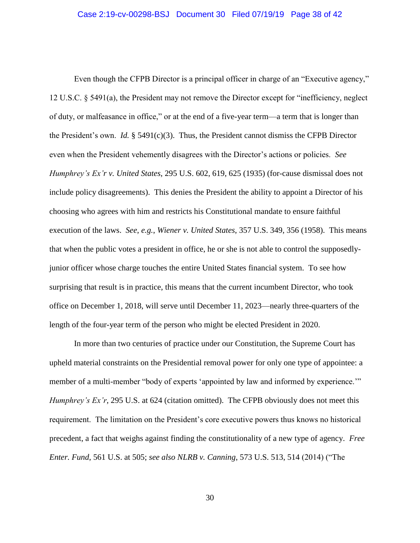Even though the CFPB Director is a principal officer in charge of an "Executive agency," 12 U.S.C. § 5491(a), the President may not remove the Director except for "inefficiency, neglect of duty, or malfeasance in office," or at the end of a five-year term—a term that is longer than the President's own. *Id.* § 5491(c)(3). Thus, the President cannot dismiss the CFPB Director even when the President vehemently disagrees with the Director's actions or policies. *See Humphrey's Ex'r v. United States*, 295 U.S. 602, 619, 625 (1935) (for-cause dismissal does not include policy disagreements). This denies the President the ability to appoint a Director of his choosing who agrees with him and restricts his Constitutional mandate to ensure faithful execution of the laws. *See*, *e.g.*, *Wiener v. United States*, 357 U.S. 349, 356 (1958). This means that when the public votes a president in office, he or she is not able to control the supposedlyjunior officer whose charge touches the entire United States financial system. To see how surprising that result is in practice, this means that the current incumbent Director, who took office on December 1, 2018, will serve until December 11, 2023—nearly three-quarters of the length of the four-year term of the person who might be elected President in 2020.

In more than two centuries of practice under our Constitution, the Supreme Court has upheld material constraints on the Presidential removal power for only one type of appointee: a member of a multi-member "body of experts 'appointed by law and informed by experience.'" *Humphrey's Ex'r*, 295 U.S. at 624 (citation omitted). The CFPB obviously does not meet this requirement. The limitation on the President's core executive powers thus knows no historical precedent, a fact that weighs against finding the constitutionality of a new type of agency. *Free Enter. Fund*, 561 U.S. at 505; *see also NLRB v. Canning*, 573 U.S. 513, 514 (2014) ("The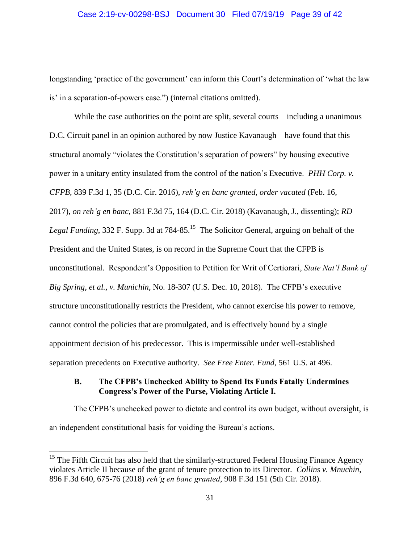longstanding 'practice of the government' can inform this Court's determination of 'what the law is' in a separation-of-powers case.") (internal citations omitted).

While the case authorities on the point are split, several courts—including a unanimous D.C. Circuit panel in an opinion authored by now Justice Kavanaugh—have found that this structural anomaly "violates the Constitution's separation of powers" by housing executive power in a unitary entity insulated from the control of the nation's Executive. *PHH Corp. v. CFPB*, 839 F.3d 1, 35 (D.C. Cir. 2016), *reh'g en banc granted, order vacated* (Feb. 16, 2017), *on reh'g en banc,* 881 F.3d 75, 164 (D.C. Cir. 2018) (Kavanaugh, J., dissenting); *RD Legal Funding*, 332 F. Supp. 3d at 784-85.<sup>15</sup> The Solicitor General, arguing on behalf of the President and the United States, is on record in the Supreme Court that the CFPB is unconstitutional. Respondent's Opposition to Petition for Writ of Certiorari*, State Nat'l Bank of Big Spring, et al., v. Munichin*, No. 18-307 (U.S. Dec. 10, 2018). The CFPB's executive structure unconstitutionally restricts the President, who cannot exercise his power to remove, cannot control the policies that are promulgated, and is effectively bound by a single appointment decision of his predecessor. This is impermissible under well-established separation precedents on Executive authority. *See Free Enter. Fund*, 561 U.S. at 496.

### **B. The CFPB's Unchecked Ability to Spend Its Funds Fatally Undermines Congress's Power of the Purse, Violating Article I.**

The CFPB's unchecked power to dictate and control its own budget, without oversight, is an independent constitutional basis for voiding the Bureau's actions.

<sup>&</sup>lt;sup>15</sup> The Fifth Circuit has also held that the similarly-structured Federal Housing Finance Agency violates Article II because of the grant of tenure protection to its Director. *Collins v. Mnuchin*, 896 F.3d 640, 675-76 (2018) *reh'g en banc granted*, 908 F.3d 151 (5th Cir. 2018).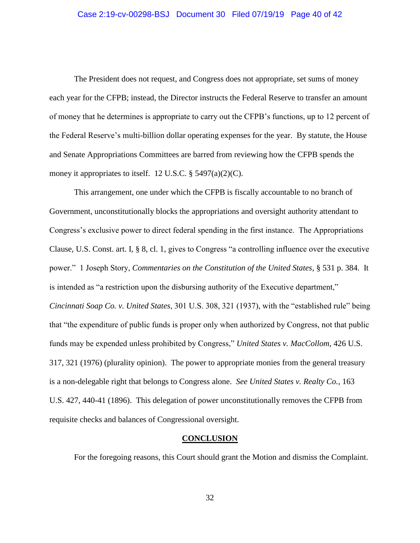The President does not request, and Congress does not appropriate, set sums of money each year for the CFPB; instead, the Director instructs the Federal Reserve to transfer an amount of money that he determines is appropriate to carry out the CFPB's functions, up to 12 percent of the Federal Reserve's multi-billion dollar operating expenses for the year. By statute, the House and Senate Appropriations Committees are barred from reviewing how the CFPB spends the money it appropriates to itself. 12 U.S.C.  $\S$  5497(a)(2)(C).

This arrangement, one under which the CFPB is fiscally accountable to no branch of Government, unconstitutionally blocks the appropriations and oversight authority attendant to Congress's exclusive power to direct federal spending in the first instance. The Appropriations Clause, U.S. Const. art. I, § 8, cl. 1, gives to Congress "a controlling influence over the executive power." 1 Joseph Story, *Commentaries on the Constitution of the United States*, § 531 p. 384. It is intended as "a restriction upon the disbursing authority of the Executive department," *Cincinnati Soap Co. v. United States*, 301 U.S. 308, 321 (1937), with the "established rule" being that "the expenditure of public funds is proper only when authorized by Congress, not that public funds may be expended unless prohibited by Congress," *United States v. MacCollom*, 426 U.S. 317, 321 (1976) (plurality opinion). The power to appropriate monies from the general treasury is a non-delegable right that belongs to Congress alone. *See United States v. Realty Co.*, 163 U.S. 427, 440-41 (1896). This delegation of power unconstitutionally removes the CFPB from requisite checks and balances of Congressional oversight.

### **CONCLUSION**

For the foregoing reasons, this Court should grant the Motion and dismiss the Complaint.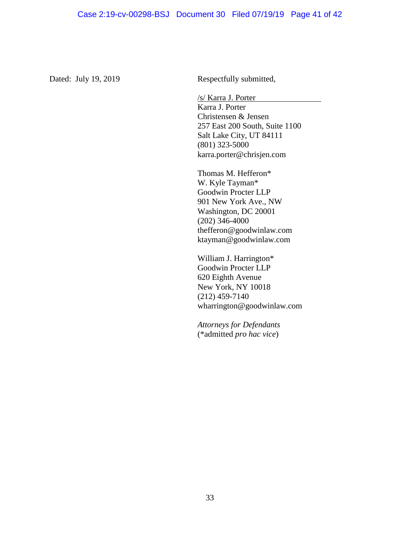Dated: July 19, 2019 Respectfully submitted,

/s/ Karra J. Porter Karra J. Porter Christensen & Jensen 257 East 200 South, Suite 1100 Salt Lake City, UT 84111 (801) 323-5000 karra.porter@chrisjen.com

Thomas M. Hefferon\* W. Kyle Tayman\* Goodwin Procter LLP 901 New York Ave., NW Washington, DC 20001 (202) 346-4000 thefferon@goodwinlaw.com ktayman@goodwinlaw.com

William J. Harrington\* Goodwin Procter LLP 620 Eighth Avenue New York, NY 10018 (212) 459-7140 wharrington@goodwinlaw.com

*Attorneys for Defendants*  (\*admitted *pro hac vice*)